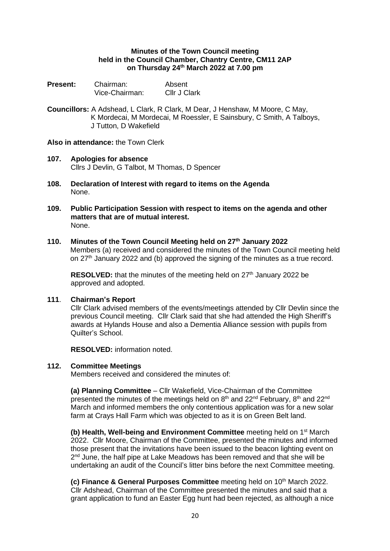### **Minutes of the Town Council meeting held in the Council Chamber, Chantry Centre, CM11 2AP on Thursday 24 th March 2022 at 7.00 pm**

| <b>Present:</b> | Chairman:      | Absent       |
|-----------------|----------------|--------------|
|                 | Vice-Chairman: | Cllr J Clark |

**Councillors:** A Adshead, L Clark, R Clark, M Dear, J Henshaw, M Moore, C May, K Mordecai, M Mordecai, M Roessler, E Sainsbury, C Smith, A Talboys, J Tutton, D Wakefield

# **Also in attendance:** the Town Clerk

- **107. Apologies for absence** Cllrs J Devlin, G Talbot, M Thomas, D Spencer
- **108. Declaration of Interest with regard to items on the Agenda** None.
- **109. Public Participation Session with respect to items on the agenda and other matters that are of mutual interest.** None.

### **110. Minutes of the Town Council Meeting held on 27th January 2022**

Members (a) received and considered the minutes of the Town Council meeting held on 27<sup>th</sup> January 2022 and (b) approved the signing of the minutes as a true record.

**RESOLVED:** that the minutes of the meeting held on 27<sup>th</sup> January 2022 be approved and adopted.

#### **111**. **Chairman's Report**

Cllr Clark advised members of the events/meetings attended by Cllr Devlin since the previous Council meeting. Cllr Clark said that she had attended the High Sheriff's awards at Hylands House and also a Dementia Alliance session with pupils from Quilter's School.

**RESOLVED:** information noted.

# **112. Committee Meetings**

Members received and considered the minutes of:

**(a) Planning Committee** – Cllr Wakefield, Vice-Chairman of the Committee presented the minutes of the meetings held on  $8<sup>th</sup>$  and  $22<sup>nd</sup>$  February,  $8<sup>th</sup>$  and  $22<sup>nd</sup>$ March and informed members the only contentious application was for a new solar farm at Crays Hall Farm which was objected to as it is on Green Belt land.

**(b) Health, Well-being and Environment Committee** meeting held on 1 st March 2022. Cllr Moore, Chairman of the Committee, presented the minutes and informed those present that the invitations have been issued to the beacon lighting event on 2<sup>nd</sup> June, the half pipe at Lake Meadows has been removed and that she will be undertaking an audit of the Council's litter bins before the next Committee meeting.

**(c) Finance & General Purposes Committee** meeting held on 10<sup>th</sup> March 2022. Cllr Adshead, Chairman of the Committee presented the minutes and said that a grant application to fund an Easter Egg hunt had been rejected, as although a nice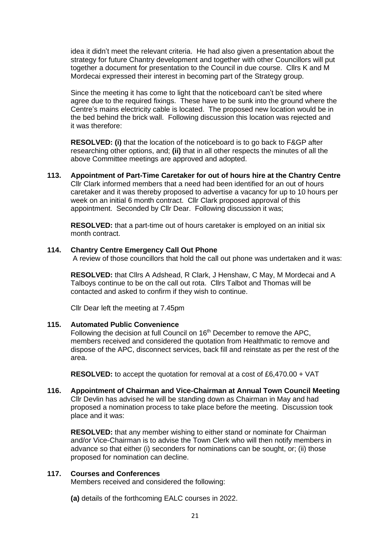idea it didn't meet the relevant criteria. He had also given a presentation about the strategy for future Chantry development and together with other Councillors will put together a document for presentation to the Council in due course. Cllrs K and M Mordecai expressed their interest in becoming part of the Strategy group.

Since the meeting it has come to light that the noticeboard can't be sited where agree due to the required fixings. These have to be sunk into the ground where the Centre's mains electricity cable is located. The proposed new location would be in the bed behind the brick wall. Following discussion this location was rejected and it was therefore:

**RESOLVED: (i)** that the location of the noticeboard is to go back to F&GP after researching other options, and; **(ii)** that in all other respects the minutes of all the above Committee meetings are approved and adopted.

**113. Appointment of Part-Time Caretaker for out of hours hire at the Chantry Centre** Cllr Clark informed members that a need had been identified for an out of hours caretaker and it was thereby proposed to advertise a vacancy for up to 10 hours per week on an initial 6 month contract. Cllr Clark proposed approval of this appointment. Seconded by Cllr Dear. Following discussion it was;

**RESOLVED:** that a part-time out of hours caretaker is employed on an initial six month contract.

#### **114. Chantry Centre Emergency Call Out Phone**

A review of those councillors that hold the call out phone was undertaken and it was:

**RESOLVED:** that Cllrs A Adshead, R Clark, J Henshaw, C May, M Mordecai and A Talboys continue to be on the call out rota. Cllrs Talbot and Thomas will be contacted and asked to confirm if they wish to continue.

Cllr Dear left the meeting at 7.45pm

#### **115. Automated Public Convenience**

Following the decision at full Council on 16<sup>th</sup> December to remove the APC, members received and considered the quotation from Healthmatic to remove and dispose of the APC, disconnect services, back fill and reinstate as per the rest of the area.

**RESOLVED:** to accept the quotation for removal at a cost of £6,470.00 + VAT

**116. Appointment of Chairman and Vice-Chairman at Annual Town Council Meeting** Cllr Devlin has advised he will be standing down as Chairman in May and had proposed a nomination process to take place before the meeting. Discussion took place and it was:

**RESOLVED:** that any member wishing to either stand or nominate for Chairman and/or Vice-Chairman is to advise the Town Clerk who will then notify members in advance so that either (i) seconders for nominations can be sought, or; (ii) those proposed for nomination can decline.

### **117. Courses and Conferences**

Members received and considered the following:

**(a)** details of the forthcoming EALC courses in 2022.